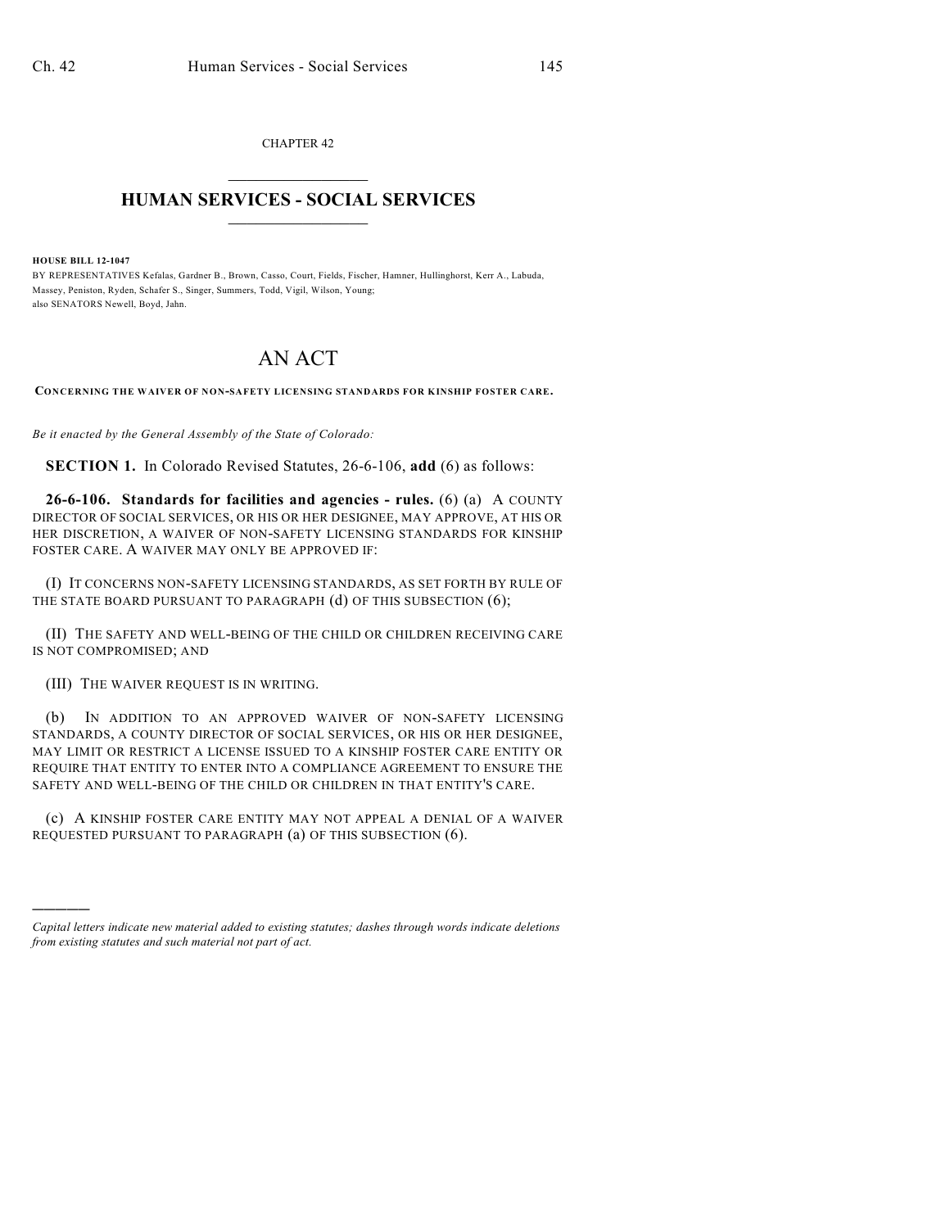CHAPTER 42  $\mathcal{L}_\text{max}$  . The set of the set of the set of the set of the set of the set of the set of the set of the set of the set of the set of the set of the set of the set of the set of the set of the set of the set of the set

## **HUMAN SERVICES - SOCIAL SERVICES**  $\frac{1}{2}$  ,  $\frac{1}{2}$  ,  $\frac{1}{2}$  ,  $\frac{1}{2}$  ,  $\frac{1}{2}$  ,  $\frac{1}{2}$

**HOUSE BILL 12-1047**

)))))

BY REPRESENTATIVES Kefalas, Gardner B., Brown, Casso, Court, Fields, Fischer, Hamner, Hullinghorst, Kerr A., Labuda, Massey, Peniston, Ryden, Schafer S., Singer, Summers, Todd, Vigil, Wilson, Young; also SENATORS Newell, Boyd, Jahn.

## AN ACT

**CONCERNING THE WAIVER OF NON-SAFETY LICENSING STANDARDS FOR KINSHIP FOSTER CARE.**

*Be it enacted by the General Assembly of the State of Colorado:*

**SECTION 1.** In Colorado Revised Statutes, 26-6-106, **add** (6) as follows:

**26-6-106. Standards for facilities and agencies - rules.** (6) (a) A COUNTY DIRECTOR OF SOCIAL SERVICES, OR HIS OR HER DESIGNEE, MAY APPROVE, AT HIS OR HER DISCRETION, A WAIVER OF NON-SAFETY LICENSING STANDARDS FOR KINSHIP FOSTER CARE. A WAIVER MAY ONLY BE APPROVED IF:

(I) IT CONCERNS NON-SAFETY LICENSING STANDARDS, AS SET FORTH BY RULE OF THE STATE BOARD PURSUANT TO PARAGRAPH (d) OF THIS SUBSECTION (6);

(II) THE SAFETY AND WELL-BEING OF THE CHILD OR CHILDREN RECEIVING CARE IS NOT COMPROMISED; AND

(III) THE WAIVER REQUEST IS IN WRITING.

(b) IN ADDITION TO AN APPROVED WAIVER OF NON-SAFETY LICENSING STANDARDS, A COUNTY DIRECTOR OF SOCIAL SERVICES, OR HIS OR HER DESIGNEE, MAY LIMIT OR RESTRICT A LICENSE ISSUED TO A KINSHIP FOSTER CARE ENTITY OR REQUIRE THAT ENTITY TO ENTER INTO A COMPLIANCE AGREEMENT TO ENSURE THE SAFETY AND WELL-BEING OF THE CHILD OR CHILDREN IN THAT ENTITY'S CARE.

(c) A KINSHIP FOSTER CARE ENTITY MAY NOT APPEAL A DENIAL OF A WAIVER REQUESTED PURSUANT TO PARAGRAPH (a) OF THIS SUBSECTION (6).

*Capital letters indicate new material added to existing statutes; dashes through words indicate deletions from existing statutes and such material not part of act.*